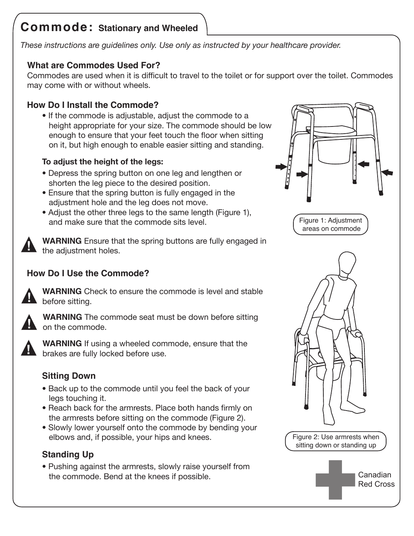# **Commode: Stationary and Wheeled**

*These instructions are guidelines only. Use only as instructed by your healthcare provider.*

## **What are Commodes Used For?**

Commodes are used when it is difficult to travel to the toilet or for support over the toilet. Commodes may come with or without wheels.

## **How Do I Install the Commode?**

• If the commode is adjustable, adjust the commode to a height appropriate for your size. The commode should be low enough to ensure that your feet touch the floor when sitting on it, but high enough to enable easier sitting and standing.

#### **To adjust the height of the legs:**

- Depress the spring button on one leg and lengthen or shorten the leg piece to the desired position.
- Ensure that the spring button is fully engaged in the adjustment hole and the leg does not move.
- Adjust the other three legs to the same length (Figure 1), and make sure that the commode sits level.



**WARNING** Ensure that the spring buttons are fully engaged in the adjustment holes. **!**

# **How Do I Use the Commode?**



**WARNING** Check to ensure the commode is level and stable before sitting.



**WARNING** The commode seat must be down before sitting on the commode.



**WARNING** If using a wheeled commode, ensure that the **brakes are fully locked before use**.

## **Sitting Down**

- Back up to the commode until you feel the back of your legs touching it.
- Reach back for the armrests. Place both hands firmly on the armrests before sitting on the commode (Figure 2).
- Slowly lower yourself onto the commode by bending your elbows and, if possible, your hips and knees.

# **Standing Up**

• Pushing against the armrests, slowly raise yourself from the commode. Bend at the knees if possible.